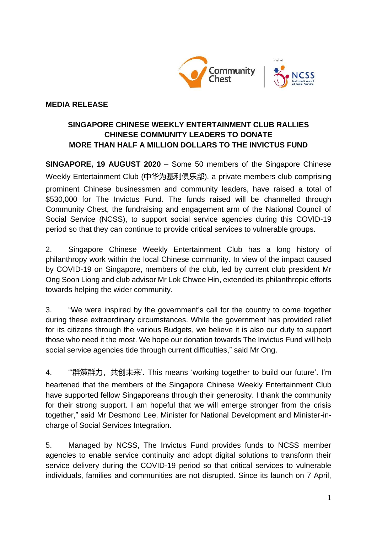



## **MEDIA RELEASE**

# **SINGAPORE CHINESE WEEKLY ENTERTAINMENT CLUB RALLIES CHINESE COMMUNITY LEADERS TO DONATE MORE THAN HALF A MILLION DOLLARS TO THE INVICTUS FUND**

**SINGAPORE, 19 AUGUST 2020** – Some 50 members of the Singapore Chinese Weekly Entertainment Club (中华为基利俱乐部), a private members club comprising prominent Chinese businessmen and community leaders, have raised a total of \$530,000 for The Invictus Fund. The funds raised will be channelled through Community Chest, the fundraising and engagement arm of the National Council of Social Service (NCSS), to support social service agencies during this COVID-19 period so that they can continue to provide critical services to vulnerable groups.

2. Singapore Chinese Weekly Entertainment Club has a long history of philanthropy work within the local Chinese community. In view of the impact caused by COVID-19 on Singapore, members of the club, led by current club president Mr Ong Soon Liong and club advisor Mr Lok Chwee Hin, extended its philanthropic efforts towards helping the wider community.

3. "We were inspired by the government's call for the country to come together during these extraordinary circumstances. While the government has provided relief for its citizens through the various Budgets, we believe it is also our duty to support those who need it the most. We hope our donation towards The Invictus Fund will help social service agencies tide through current difficulties," said Mr Ong.

4. "'群策群力,共创未来'. This means 'working together to build our future'. I'm heartened that the members of the Singapore Chinese Weekly Entertainment Club have supported fellow Singaporeans through their generosity. I thank the community for their strong support. I am hopeful that we will emerge stronger from the crisis together," said Mr Desmond Lee, Minister for National Development and Minister-incharge of Social Services Integration.

5. Managed by NCSS, The Invictus Fund provides funds to NCSS member agencies to enable service continuity and adopt digital solutions to transform their service delivery during the COVID-19 period so that critical services to vulnerable individuals, families and communities are not disrupted. Since its launch on 7 April,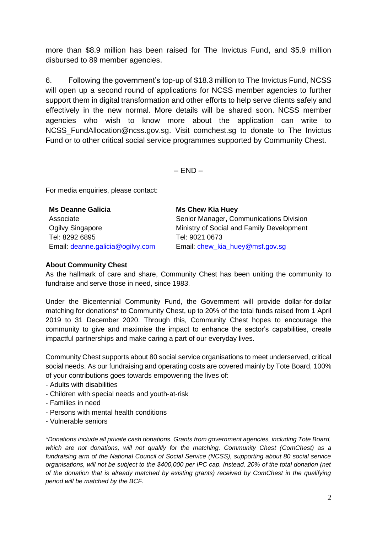more than \$8.9 million has been raised for The Invictus Fund, and \$5.9 million disbursed to 89 member agencies.

6. Following the government's top-up of \$18.3 million to The Invictus Fund, NCSS will open up a second round of applications for NCSS member agencies to further support them in digital transformation and other efforts to help serve clients safely and effectively in the new normal. More details will be shared soon. NCSS member agencies who wish to know more about the application can write to NCSS FundAllocation@ncss.gov.sg. Visit comchest.sg to donate to The Invictus Fund or to other critical social service programmes supported by Community Chest.

 $-$  FND  $-$ 

For media enquiries, please contact:

| <b>Ms Deanne Galicia</b>         | <b>Ms Chew Kia Huey</b>                   |
|----------------------------------|-------------------------------------------|
| Associate                        | Senior Manager, Communications Division   |
| Ogilvy Singapore                 | Ministry of Social and Family Development |
| Tel: 8292 6895                   | Tel: 9021 0673                            |
| Email: deanne.galicia@ogilvy.com | Email: chew_kia_huey@msf.gov.sg           |

### **About Community Chest**

As the hallmark of care and share, Community Chest has been uniting the community to fundraise and serve those in need, since 1983.

Under the Bicentennial Community Fund, the Government will provide dollar-for-dollar matching for donations\* to Community Chest, up to 20% of the total funds raised from 1 April 2019 to 31 December 2020. Through this, Community Chest hopes to encourage the community to give and maximise the impact to enhance the sector's capabilities, create impactful partnerships and make caring a part of our everyday lives.

Community Chest supports about 80 social service organisations to meet underserved, critical social needs. As our fundraising and operating costs are covered mainly by Tote Board, 100% of your contributions goes towards empowering the lives of:

- Adults with disabilities
- Children with special needs and youth-at-risk
- Families in need
- Persons with mental health conditions
- Vulnerable seniors

*\*Donations include all private cash donations. Grants from government agencies, including Tote Board, which are not donations, will not qualify for the matching. Community Chest (ComChest) as a fundraising arm of the National Council of Social Service (NCSS), supporting about 80 social service organisations, will not be subject to the \$400,000 per IPC cap. Instead, 20% of the total donation (net of the donation that is already matched by existing grants) received by ComChest in the qualifying period will be matched by the BCF.*